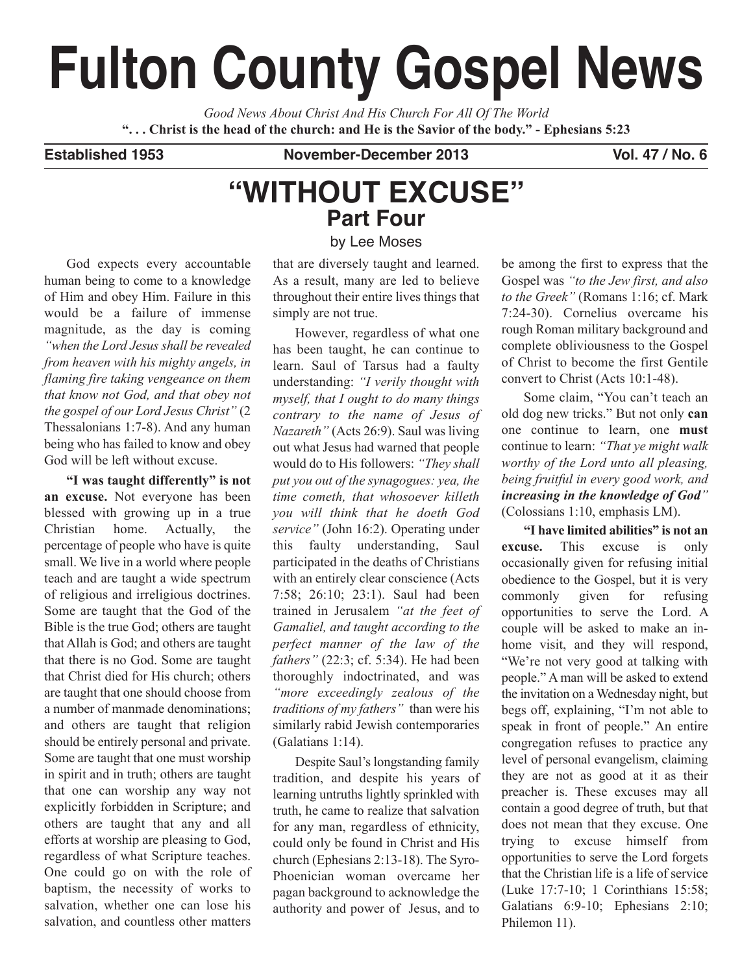# **Fulton County Gospel News**

*Good News About Christ And His Church For All Of The World* "... Christ is the head of the church: and He is the Savior of the body." - Ephesians 5:23

**Established 1953 November-December 2013 Vol. 47 / No. 6**

## **"WITHOUT EXCUSE" Part Four**

by Lee Moses

God expects every accountable human being to come to a knowledge of Him and obey Him. Failure in this would be a failure of immense magnitude, as the day is coming *"when the Lord Jesus shall be revealed from heaven with his mighty angels, in flaming fire taking vengeance on them that know not God, and that obey not the gospel of our Lord Jesus Christ"* (2 Thessalonians 1:7-8). And any human being who has failed to know and obey God will be left without excuse.

**"I was taught differently" is not an excuse.** Not everyone has been blessed with growing up in a true Christian home. Actually, the percentage of people who have is quite small. We live in a world where people teach and are taught a wide spectrum of religious and irreligious doctrines. Some are taught that the God of the Bible is the true God; others are taught that Allah is God; and others are taught that there is no God. Some are taught that Christ died for His church; others are taught that one should choose from a number of manmade denominations; and others are taught that religion should be entirely personal and private. Some are taught that one must worship in spirit and in truth; others are taught that one can worship any way not explicitly forbidden in Scripture; and others are taught that any and all efforts at worship are pleasing to God, regardless of what Scripture teaches. One could go on with the role of baptism, the necessity of works to salvation, whether one can lose his salvation, and countless other matters

that are diversely taught and learned. As a result, many are led to believe throughout their entire lives things that simply are not true.

However, regardless of what one has been taught, he can continue to learn. Saul of Tarsus had a faulty understanding: *"I verily thought with myself, that I ought to do many things contrary to the name of Jesus of Nazareth"* (Acts 26:9). Saul was living out what Jesus had warned that people would do to His followers: *"They shall put you out of the synagogues: yea, the time cometh, that whosoever killeth you will think that he doeth God service"* (John 16:2). Operating under this faulty understanding, Saul participated in the deaths of Christians with an entirely clear conscience (Acts 7:58; 26:10; 23:1). Saul had been trained in Jerusalem *"at the feet of Gamaliel, and taught according to the perfect manner of the law of the fathers"* (22:3; cf. 5:34). He had been thoroughly indoctrinated, and was *"more exceedingly zealous of the traditions of my fathers"* than were his similarly rabid Jewish contemporaries (Galatians 1:14).

Despite Saul's longstanding family tradition, and despite his years of learning untruths lightly sprinkled with truth, he came to realize that salvation for any man, regardless of ethnicity, could only be found in Christ and His church (Ephesians 2:13-18). The Syro-Phoenician woman overcame her pagan background to acknowledge the authority and power of Jesus, and to be among the first to express that the Gospel was *"to the Jew first, and also to the Greek"* (Romans 1:16; cf. Mark 7:24-30). Cornelius overcame his rough Roman military background and complete obliviousness to the Gospel of Christ to become the first Gentile convert to Christ (Acts 10:1-48).

Some claim, "You can't teach an old dog new tricks." But not only **can** one continue to learn, one **must** continue to learn: *"That ye might walk worthy of the Lord unto all pleasing, being fruitful in every good work, and increasing in the knowledge of God"* (Colossians 1:10, emphasis LM).

**"I have limited abilities" is not an excuse.** This excuse is only occasionally given for refusing initial obedience to the Gospel, but it is very commonly given for refusing opportunities to serve the Lord. A couple will be asked to make an inhome visit, and they will respond, "We're not very good at talking with people." A man will be asked to extend the invitation on a Wednesday night, but begs off, explaining, "I'm not able to speak in front of people." An entire congregation refuses to practice any level of personal evangelism, claiming they are not as good at it as their preacher is. These excuses may all contain a good degree of truth, but that does not mean that they excuse. One trying to excuse himself from opportunities to serve the Lord forgets that the Christian life is a life of service (Luke 17:7-10; 1 Corinthians 15:58; Galatians 6:9-10; Ephesians 2:10; Philemon 11).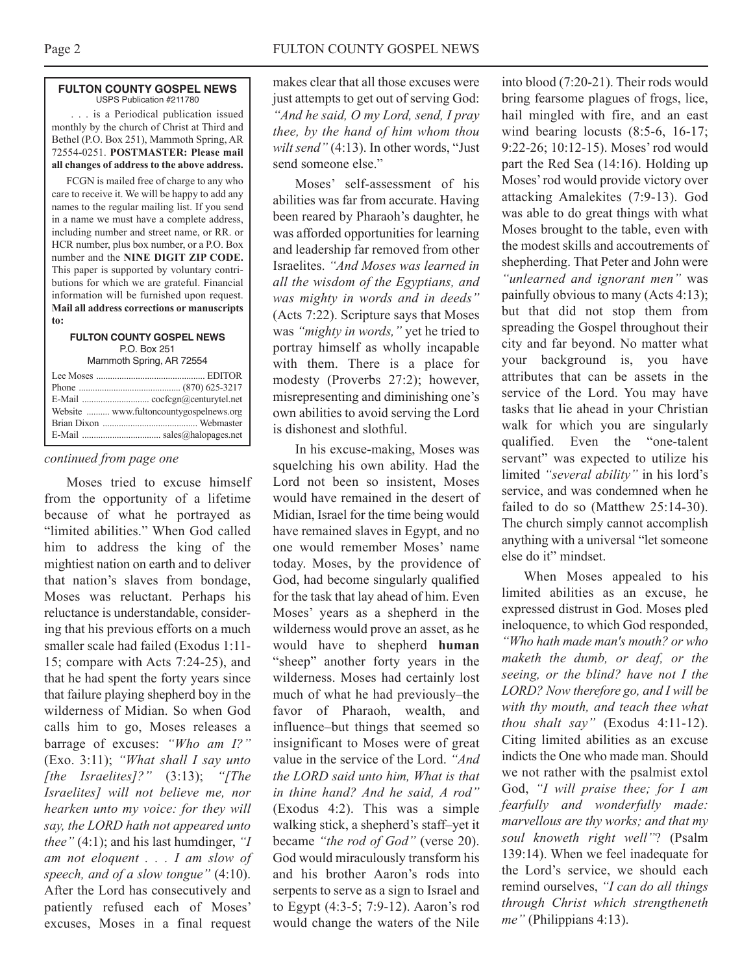#### **FULTON COUNTY GOSPEL NEWS** USPS Publication #211780

. . . is a Periodical publication issued monthly by the church of Christ at Third and Bethel (P.O. Box 251), Mammoth Spring, AR 72554-0251. **POSTMASTER: Please mail all changes of address to the above address.**

FCGN is mailed free of charge to any who care to receive it. We will be happy to add any names to the regular mailing list. If you send in a name we must have a complete address, including number and street name, or RR. or HCR number, plus box number, or a P.O. Box number and the **NINE DIGIT ZIP CODE.** This paper is supported by voluntary contributions for which we are grateful. Financial information will be furnished upon request. **Mail all address corrections or manuscripts to:**

#### **FULTON COUNTY GOSPEL NEWS** P.O. Box 251 Mammoth Spring, AR 72554

|  | Website  www.fultoncountygospelnews.org |
|--|-----------------------------------------|
|  |                                         |
|  |                                         |
|  |                                         |

#### *continued from page one*

Moses tried to excuse himself from the opportunity of a lifetime because of what he portrayed as "limited abilities." When God called him to address the king of the mightiest nation on earth and to deliver that nation's slaves from bondage, Moses was reluctant. Perhaps his reluctance is understandable, considering that his previous efforts on a much smaller scale had failed (Exodus 1:11- 15; compare with Acts 7:24-25), and that he had spent the forty years since that failure playing shepherd boy in the wilderness of Midian. So when God calls him to go, Moses releases a barrage of excuses: *"Who am I?"* (Exo. 3:11); *"What shall I say unto [the Israelites]?"* (3:13); *"[The Israelites] will not believe me, nor hearken unto my voice: for they will say, the LORD hath not appeared unto thee"* (4:1); and his last humdinger, *"I am not eloquent . . . I am slow of speech, and of a slow tongue"* (4:10). After the Lord has consecutively and patiently refused each of Moses' excuses, Moses in a final request

makes clear that all those excuses were just attempts to get out of serving God: *"And he said, O my Lord, send, I pray thee, by the hand of him whom thou wilt send"* (4:13). In other words, "Just send someone else."

Moses' self-assessment of his abilities was far from accurate. Having been reared by Pharaoh's daughter, he was afforded opportunities for learning and leadership far removed from other Israelites. *"And Moses was learned in all the wisdom of the Egyptians, and was mighty in words and in deeds"* (Acts 7:22). Scripture says that Moses was *"mighty in words,"* yet he tried to portray himself as wholly incapable with them. There is a place for modesty (Proverbs 27:2); however, misrepresenting and diminishing one's own abilities to avoid serving the Lord is dishonest and slothful.

In his excuse-making, Moses was squelching his own ability. Had the Lord not been so insistent, Moses would have remained in the desert of Midian, Israel for the time being would have remained slaves in Egypt, and no one would remember Moses' name today. Moses, by the providence of God, had become singularly qualified for the task that lay ahead of him. Even Moses' years as a shepherd in the wilderness would prove an asset, as he would have to shepherd **human** "sheep" another forty years in the wilderness. Moses had certainly lost much of what he had previously–the favor of Pharaoh, wealth, and influence–but things that seemed so insignificant to Moses were of great value in the service of the Lord. *"And the LORD said unto him, What is that in thine hand? And he said, A rod"* (Exodus 4:2). This was a simple walking stick, a shepherd's staff–yet it became *"the rod of God"* (verse 20). God would miraculously transform his and his brother Aaron's rods into serpents to serve as a sign to Israel and to Egypt (4:3-5; 7:9-12). Aaron's rod would change the waters of the Nile into blood (7:20-21). Their rods would bring fearsome plagues of frogs, lice, hail mingled with fire, and an east wind bearing locusts  $(8:5-6, 16-17)$ ; 9:22-26; 10:12-15). Moses' rod would part the Red Sea (14:16). Holding up Moses'rod would provide victory over attacking Amalekites (7:9-13). God was able to do great things with what Moses brought to the table, even with the modest skills and accoutrements of shepherding. That Peter and John were *"unlearned and ignorant men"* was painfully obvious to many (Acts 4:13); but that did not stop them from spreading the Gospel throughout their city and far beyond. No matter what your background is, you have attributes that can be assets in the service of the Lord. You may have tasks that lie ahead in your Christian walk for which you are singularly qualified. Even the "one-talent servant" was expected to utilize his limited *"several ability"* in his lord's service, and was condemned when he failed to do so (Matthew 25:14-30). The church simply cannot accomplish anything with a universal "let someone else do it" mindset.

When Moses appealed to his limited abilities as an excuse, he expressed distrust in God. Moses pled ineloquence, to which God responded, *"Who hath made man's mouth? or who maketh the dumb, or deaf, or the seeing, or the blind? have not I the LORD? Now therefore go, and I will be with thy mouth, and teach thee what thou shalt say"* (Exodus 4:11-12). Citing limited abilities as an excuse indicts the One who made man. Should we not rather with the psalmist extol God, *"I will praise thee; for I am fearfully and wonderfully made: marvellous are thy works; and that my soul knoweth right well"*? (Psalm 139:14). When we feel inadequate for the Lord's service, we should each remind ourselves, *"I can do all things through Christ which strengtheneth me"* (Philippians 4:13).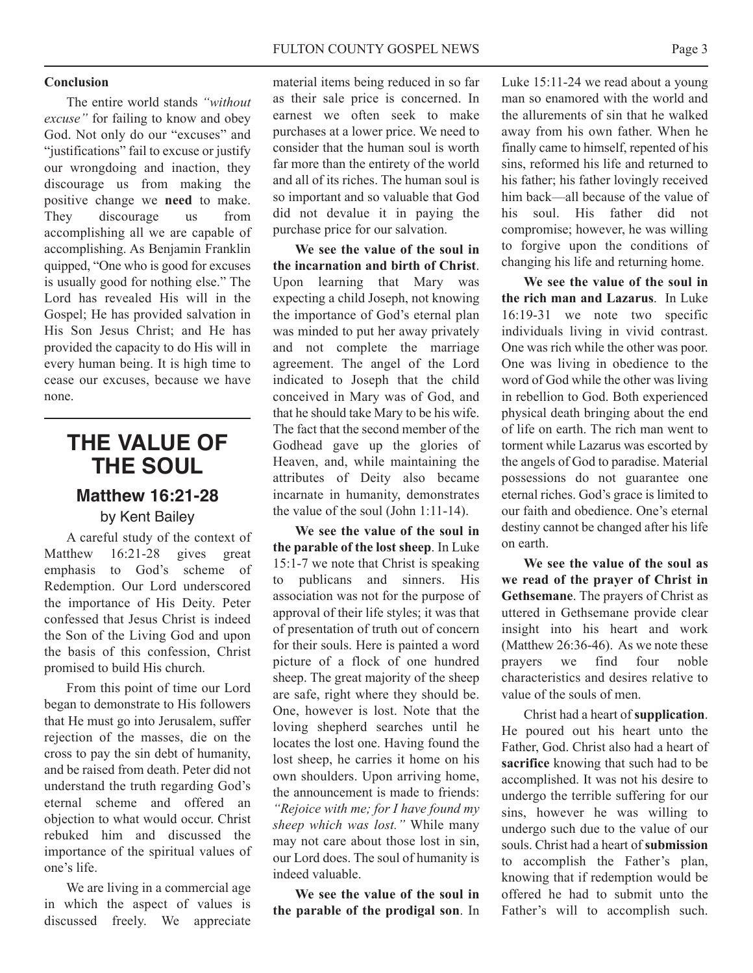#### **Conclusion**

The entire world stands *"without excuse"* for failing to know and obey God. Not only do our "excuses" and "justifications" fail to excuse or justify our wrongdoing and inaction, they discourage us from making the positive change we **need** to make. They discourage us from accomplishing all we are capable of accomplishing. As Benjamin Franklin quipped, "One who is good for excuses is usually good for nothing else." The Lord has revealed His will in the Gospel; He has provided salvation in His Son Jesus Christ; and He has provided the capacity to do His will in every human being. It is high time to cease our excuses, because we have none.

### **THE VALUE OF THE SOUL**

## **Matthew 16:21-28**

by Kent Bailey

A careful study of the context of Matthew 16:21-28 gives great emphasis to God's scheme of Redemption. Our Lord underscored the importance of His Deity. Peter confessed that Jesus Christ is indeed the Son of the Living God and upon the basis of this confession, Christ promised to build His church.

From this point of time our Lord began to demonstrate to His followers that He must go into Jerusalem, suffer rejection of the masses, die on the cross to pay the sin debt of humanity, and be raised from death. Peter did not understand the truth regarding God's eternal scheme and offered an objection to what would occur. Christ rebuked him and discussed the importance of the spiritual values of one's life.

We are living in a commercial age in which the aspect of values is discussed freely. We appreciate

material items being reduced in so far as their sale price is concerned. In earnest we often seek to make purchases at a lower price. We need to consider that the human soul is worth far more than the entirety of the world and all of its riches. The human soul is so important and so valuable that God did not devalue it in paying the purchase price for our salvation.

**We see the value of the soul in the incarnation and birth of Christ**. Upon learning that Mary was expecting a child Joseph, not knowing the importance of God's eternal plan was minded to put her away privately and not complete the marriage agreement. The angel of the Lord indicated to Joseph that the child conceived in Mary was of God, and that he should take Mary to be his wife. The fact that the second member of the Godhead gave up the glories of Heaven, and, while maintaining the attributes of Deity also became incarnate in humanity, demonstrates the value of the soul (John 1:11-14).

**We see the value of the soul in the parable of the lost sheep**. In Luke 15:1-7 we note that Christ is speaking to publicans and sinners. His association was not for the purpose of approval of their life styles; it was that of presentation of truth out of concern for their souls. Here is painted a word picture of a flock of one hundred sheep. The great majority of the sheep are safe, right where they should be. One, however is lost. Note that the loving shepherd searches until he locates the lost one. Having found the lost sheep, he carries it home on his own shoulders. Upon arriving home, the announcement is made to friends: *"Rejoice with me; for I have found my sheep which was lost."* While many may not care about those lost in sin, our Lord does. The soul of humanity is indeed valuable.

**We see the value of the soul in the parable of the prodigal son**. In

Luke 15:11-24 we read about a young man so enamored with the world and the allurements of sin that he walked away from his own father. When he finally came to himself, repented of his sins, reformed his life and returned to his father; his father lovingly received him back—all because of the value of his soul. His father did not compromise; however, he was willing to forgive upon the conditions of changing his life and returning home.

**We see the value of the soul in the rich man and Lazarus**. In Luke 16:19-31 we note two specific individuals living in vivid contrast. One was rich while the other was poor. One was living in obedience to the word of God while the other was living in rebellion to God. Both experienced physical death bringing about the end of life on earth. The rich man went to torment while Lazarus was escorted by the angels of God to paradise. Material possessions do not guarantee one eternal riches. God's grace is limited to our faith and obedience. One's eternal destiny cannot be changed after his life on earth.

**We see the value of the soul as we read of the prayer of Christ in Gethsemane**. The prayers of Christ as uttered in Gethsemane provide clear insight into his heart and work (Matthew 26:36-46). As we note these prayers we find four noble characteristics and desires relative to value of the souls of men.

Christ had a heart of **supplication**. He poured out his heart unto the Father, God. Christ also had a heart of **sacrifice** knowing that such had to be accomplished. It was not his desire to undergo the terrible suffering for our sins, however he was willing to undergo such due to the value of our souls. Christ had a heart of **submission** to accomplish the Father's plan, knowing that if redemption would be offered he had to submit unto the Father's will to accomplish such.